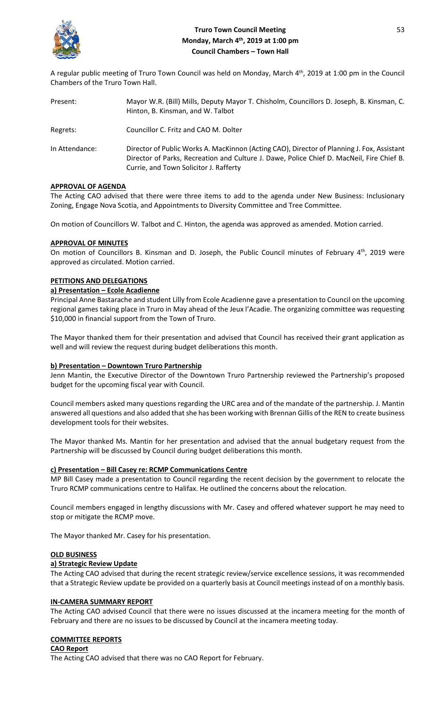

A regular public meeting of Truro Town Council was held on Monday, March 4<sup>th</sup>, 2019 at 1:00 pm in the Council Chambers of the Truro Town Hall.

| Present:       | Mayor W.R. (Bill) Mills, Deputy Mayor T. Chisholm, Councillors D. Joseph, B. Kinsman, C.<br>Hinton, B. Kinsman, and W. Talbot                                                                                                     |
|----------------|-----------------------------------------------------------------------------------------------------------------------------------------------------------------------------------------------------------------------------------|
| Regrets:       | Councillor C. Fritz and CAO M. Dolter                                                                                                                                                                                             |
| In Attendance: | Director of Public Works A. MacKinnon (Acting CAO), Director of Planning J. Fox, Assistant<br>Director of Parks, Recreation and Culture J. Dawe, Police Chief D. MacNeil, Fire Chief B.<br>Currie, and Town Solicitor J. Rafferty |

## **APPROVAL OF AGENDA**

The Acting CAO advised that there were three items to add to the agenda under New Business: Inclusionary Zoning, Engage Nova Scotia, and Appointments to Diversity Committee and Tree Committee.

On motion of Councillors W. Talbot and C. Hinton, the agenda was approved as amended. Motion carried.

## **APPROVAL OF MINUTES**

On motion of Councillors B. Kinsman and D. Joseph, the Public Council minutes of February 4<sup>th</sup>, 2019 were approved as circulated. Motion carried.

# **PETITIONS AND DELEGATIONS**

## **a) Presentation – Ecole Acadienne**

Principal Anne Bastarache and student Lilly from Ecole Acadienne gave a presentation to Council on the upcoming regional games taking place in Truro in May ahead of the Jeux l'Acadie. The organizing committee was requesting \$10,000 in financial support from the Town of Truro.

The Mayor thanked them for their presentation and advised that Council has received their grant application as well and will review the request during budget deliberations this month.

### **b) Presentation – Downtown Truro Partnership**

Jenn Mantin, the Executive Director of the Downtown Truro Partnership reviewed the Partnership's proposed budget for the upcoming fiscal year with Council.

Council members asked many questions regarding the URC area and of the mandate of the partnership. J. Mantin answered all questions and also added that she has been working with Brennan Gillis of the REN to create business development tools for their websites.

The Mayor thanked Ms. Mantin for her presentation and advised that the annual budgetary request from the Partnership will be discussed by Council during budget deliberations this month.

### **c) Presentation – Bill Casey re: RCMP Communications Centre**

MP Bill Casey made a presentation to Council regarding the recent decision by the government to relocate the Truro RCMP communications centre to Halifax. He outlined the concerns about the relocation.

Council members engaged in lengthy discussions with Mr. Casey and offered whatever support he may need to stop or mitigate the RCMP move.

The Mayor thanked Mr. Casey for his presentation.

### **OLD BUSINESS**

# **a) Strategic Review Update**

The Acting CAO advised that during the recent strategic review/service excellence sessions, it was recommended that a Strategic Review update be provided on a quarterly basis at Council meetings instead of on a monthly basis.

### **IN-CAMERA SUMMARY REPORT**

The Acting CAO advised Council that there were no issues discussed at the incamera meeting for the month of February and there are no issues to be discussed by Council at the incamera meeting today.

# **COMMITTEE REPORTS**

**CAO Report** The Acting CAO advised that there was no CAO Report for February.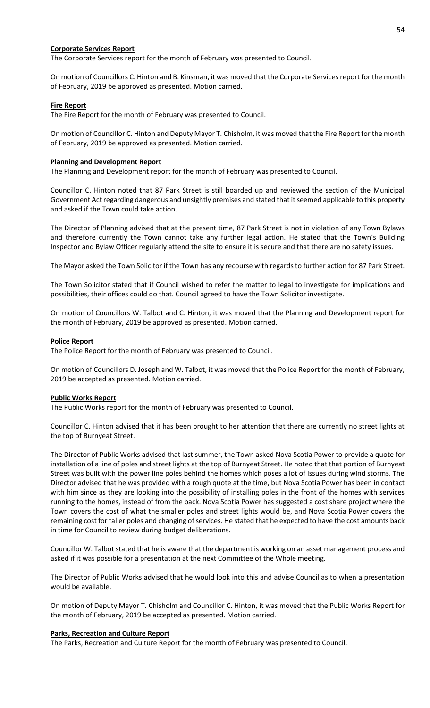## **Corporate Services Report**

The Corporate Services report for the month of February was presented to Council.

On motion of Councillors C. Hinton and B. Kinsman, it was moved that the Corporate Servicesreport for the month of February, 2019 be approved as presented. Motion carried.

# **Fire Report**

The Fire Report for the month of February was presented to Council.

On motion of Councillor C. Hinton and Deputy Mayor T. Chisholm, it was moved that the Fire Report for the month of February, 2019 be approved as presented. Motion carried.

### **Planning and Development Report**

The Planning and Development report for the month of February was presented to Council.

Councillor C. Hinton noted that 87 Park Street is still boarded up and reviewed the section of the Municipal Government Act regarding dangerous and unsightly premises and stated that it seemed applicable to this property and asked if the Town could take action.

The Director of Planning advised that at the present time, 87 Park Street is not in violation of any Town Bylaws and therefore currently the Town cannot take any further legal action. He stated that the Town's Building Inspector and Bylaw Officer regularly attend the site to ensure it is secure and that there are no safety issues.

The Mayor asked the Town Solicitor if the Town has any recourse with regards to further action for 87 Park Street.

The Town Solicitor stated that if Council wished to refer the matter to legal to investigate for implications and possibilities, their offices could do that. Council agreed to have the Town Solicitor investigate.

On motion of Councillors W. Talbot and C. Hinton, it was moved that the Planning and Development report for the month of February, 2019 be approved as presented. Motion carried.

## **Police Report**

The Police Report for the month of February was presented to Council.

On motion of Councillors D. Joseph and W. Talbot, it was moved that the Police Report for the month of February, 2019 be accepted as presented. Motion carried.

# **Public Works Report**

The Public Works report for the month of February was presented to Council.

Councillor C. Hinton advised that it has been brought to her attention that there are currently no street lights at the top of Burnyeat Street.

The Director of Public Works advised that last summer, the Town asked Nova Scotia Power to provide a quote for installation of a line of poles and street lights at the top of Burnyeat Street. He noted that that portion of Burnyeat Street was built with the power line poles behind the homes which poses a lot of issues during wind storms. The Director advised that he was provided with a rough quote at the time, but Nova Scotia Power has been in contact with him since as they are looking into the possibility of installing poles in the front of the homes with services running to the homes, instead of from the back. Nova Scotia Power has suggested a cost share project where the Town covers the cost of what the smaller poles and street lights would be, and Nova Scotia Power covers the remaining cost for taller poles and changing of services. He stated that he expected to have the cost amounts back in time for Council to review during budget deliberations.

Councillor W. Talbot stated that he is aware that the department is working on an asset management process and asked if it was possible for a presentation at the next Committee of the Whole meeting.

The Director of Public Works advised that he would look into this and advise Council as to when a presentation would be available.

On motion of Deputy Mayor T. Chisholm and Councillor C. Hinton, it was moved that the Public Works Report for the month of February, 2019 be accepted as presented. Motion carried.

### **Parks, Recreation and Culture Report**

The Parks, Recreation and Culture Report for the month of February was presented to Council.